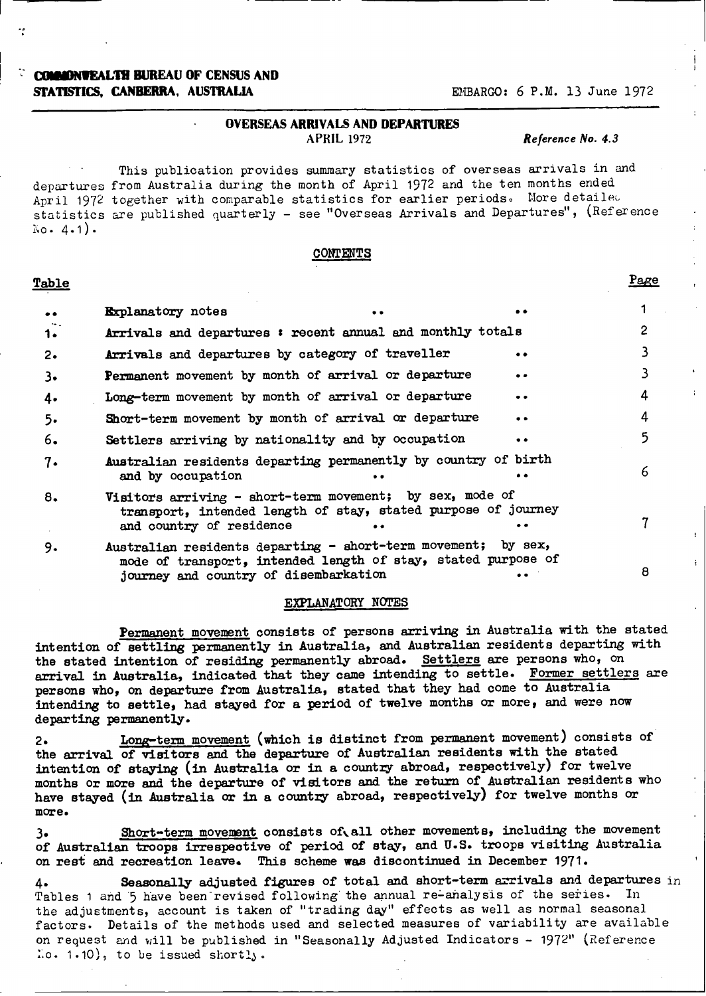### **COMMONTEALTH BUREAU OF CENSUS AND STATISTICS. CANBERRA, AUSTRALIA EMBARGO: 6 P.M. 13 June 1972**

#### **OVERSEAS ARRIVALS AND DEPARTURES** APRIL 1972 *Reference No. 4.3*

This publication provides summary statistics of overseas arrivals in and departures from Australia during the month of April 1972 and the ten months ended April 1972 together with comparable statistics for earlier periods. More detailed statistics are published quarterly - see "Overseas Arrivals and Departures", (Reference  $No. 4.1).$ 

#### **CONTENTS**

#### **Table Page**

| $\bullet$ | <b>Explanatory</b> notes<br>$\bullet$                                                                                                                                     |           |   |
|-----------|---------------------------------------------------------------------------------------------------------------------------------------------------------------------------|-----------|---|
| 1.        | Arrivals and departures : recent annual and monthly totals                                                                                                                |           |   |
| $2\cdot$  | Arrivals and departures by category of traveller                                                                                                                          | $\bullet$ |   |
| 3.        | Permanent movement by month of arrival or departure                                                                                                                       | . .       |   |
| 4.        | Long-term movement by month of arrival or departure                                                                                                                       | $\bullet$ | 4 |
| 5.        | Short-term movement by month of arrival or departure                                                                                                                      |           | 4 |
| 6.        | Settlers arriving by nationality and by occupation                                                                                                                        |           |   |
| 7.        | Australian residents departing permanently by country of birth<br>and by occupation                                                                                       |           | 6 |
| 8.        | Visitors arriving - short-term movement; by sex, mode of<br>transport, intended length of stay, stated purpose of journey<br>and country of residence<br>$\bullet\bullet$ |           |   |
| 9.        | Australian residents departing - short-term movement;                                                                                                                     | by sex,   |   |

mode of transport, intended length of stay, stated purpose of journey and country of disembarkation **8**<br> $\frac{1}{2}$  **8** 

#### EXPLANATORY NOTES

Permanent movement consists of persons arriving in Australia with the stated intention of **settling permanently** in Australia, and Australian residents departing with the stated intention of **residing** permanently abroad. Settlers are persons who, on **arrival** in Australia, indicated that they came intending to settle. Former settlers are persons who, on departure from Australia, stated that they had come to Australia intending to settle, had stayed for a period of twelve months or more, and were now departing permanently.

2. Long-term movement (which **is distinct** from permanent movement) consists of the arrival of visitors and the departure of Australian residents with the stated **intention of staying (in Australia** or in a country abroad, respectively) **for** twelve months or more and the departure of visitors and the return of Australian residents who have stayed (in Australia or in a **country** abroad, respectively) for twelve months or **more.**

**3.** Short-term movement consists of all other movements, including the movement of Australian **troops irrespective** of period of stay, and U.S. troops visiting Australia on rest and recreation leave. **This** scheme was discontinued in December **1971.**

**4. Seasonally adjusted figures of** total and short-term arrivals and departures in Tables 1 and 5 have been revised following the annual re-analysis of the series. In the adjustments, account is taken of "trading day" effects as well as normal seasonal factors. Details of the methods used and selected measures of variability are available on request and will be published in "Seasonally Adjusted Indicators - 1972" (Reference  $i.e. 1.10$ , to be issued shortly.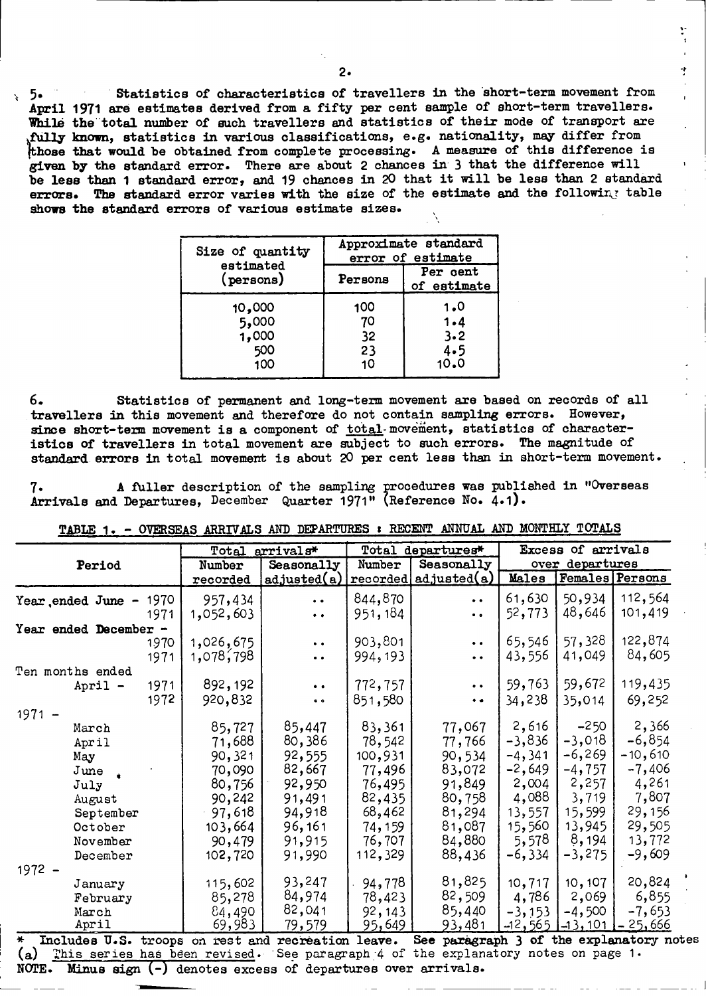**5.** Statistics of characteristics of travellers in the short-term movement from **April 1971** are estimates derived from a **fifty** per cent **sample** of short-term travellers. While the total number of such travellers and statistics of their mode of transport are **fully** known, statistics in various classifications, e.g. nationality, may differ from **those** that would be obtained from complete processing. **A** measure of this difference is **given by** the standard error. There are about **2** chances in **3** that the difference will be less than **1** standard error, and **19** chances in **20** that it will be less than **2 standard** errors. The standard error varies with the size of the estimate and the following table shows the standard errors of various estimate sizes.

| Size of quantity                       | Approximate standard<br>error of estimate |                                      |  |  |  |
|----------------------------------------|-------------------------------------------|--------------------------------------|--|--|--|
| estimated<br>(persons)                 | Persons                                   | Per cent<br>of estimate              |  |  |  |
| 10,000<br>5,000<br>1,000<br>500<br>100 | 100<br>70<br>32<br>23<br>10               | 1.0<br>$1 - 4$<br>3.2<br>4.5<br>10.0 |  |  |  |

**6.** Statistics of permanent and long-term movement are based on records of all travellers **in** this movement and therefore do not contain sampling errors. However, since short-term movement is a component of total-movement, statistics of characteristics of travellers in total movement are subject to such errors. The magnitude of **standard** errors in total movement is about **20** per cent less than in short-term movement.

**7.** A fuller description of the sampling procedures was published in "Overseas Arrivals and Departures, December Quarter 1971" (Reference **No.** 4.1).

|                                                                  |      |           | Total arrivals*      | Total departures* |                                                    | Excess of arrivals |                 |                        |
|------------------------------------------------------------------|------|-----------|----------------------|-------------------|----------------------------------------------------|--------------------|-----------------|------------------------|
| Period                                                           |      | Number    | Seasonally           | Number            | Seasonally                                         |                    | over departures |                        |
|                                                                  |      | recorded  | adjusted(a)          |                   | recovered  adjusted                                | Males              |                 | <b>Females</b> Persons |
| Year ended June -                                                | 1970 | 957,434   | $\ddot{\phantom{a}}$ | 844,870           | $\bullet$ $\bullet$                                | 61,630             | 50,934          | 112,564                |
|                                                                  | 1971 | 1,052,603 | $\bullet$ $\bullet$  | 951, 184          | $\bullet$ $\bullet$                                | 52,773             | 48,646          | 101,419                |
| Year ended December -                                            |      |           |                      |                   |                                                    |                    |                 |                        |
|                                                                  | 1970 | 1,026,675 | $\bullet$ $\bullet$  | 903,801           | $\bullet$ $\bullet$                                | 65,546             | 57,328          | 122,874                |
|                                                                  | 1971 | 1,078,798 | $\ddot{\phantom{a}}$ | 994, 193          | $\bullet\;\bullet$                                 | 43,556             | 41,049          | 84,605                 |
| Ten months ended                                                 |      |           |                      |                   |                                                    |                    |                 |                        |
| April -                                                          | 1971 | 892,192   | $\bullet$ $\bullet$  | 772,757           | $\bullet\ \bullet$                                 | 59,763             | 59,672          | 119,435                |
|                                                                  | 1972 | 920,832   | $\bullet$ $\bullet$  | 851,580           | $\bullet$                                          | 34,238             | 35,014          | 69,252                 |
| $1971 -$                                                         |      |           |                      |                   |                                                    |                    |                 |                        |
| March                                                            |      | 85,727    | 85,447               | 83,361            | 77,067                                             | 2,616              | $-250$          | 2,366                  |
| April                                                            |      | 71,688    | 80,386               | 78,542            | 77,766                                             | $-3,836$           | $-3,018$        | $-6,854$               |
| May                                                              |      | 90,321    | 92,555               | 100,931           | 90,534                                             | $-4,341$           | $-6,269$        | $-10,610$              |
| June                                                             |      | 70,090    | 82,667               | 77,496            | 83,072                                             | $-2,649$           | $-4,757$        | $-7,406$               |
| July                                                             |      | 80,756    | 92,950               | 76,495            | 91,849                                             | 2,004              | 2,257           | 4,261                  |
| August                                                           |      | 90,242    | 91,491               | 82,435            | 80,758                                             | 4,088              | 3,719           | 7,807                  |
| September                                                        |      | 97,618    | 94,918               | 68,462            | 81,294                                             | 13,557             | 15,599          | 29,156                 |
| October                                                          |      | 103,664   | 96, 161              | 74,159            | 81,087                                             | 15,560             | 13,945          | 29,505                 |
| November                                                         |      | 90,479    | 91,915               | 76,707            | 84,880                                             | 5,578              | 8,194           | 13,772                 |
| December                                                         |      | 102,720   | 91,990               | 112,329           | 88,436                                             | $-6,334$           | $-3,275$        | $-9,609$               |
| $1972 -$                                                         |      |           |                      |                   |                                                    |                    |                 |                        |
| January                                                          |      | 115,602   | 93,247               | 94,778            | 81,825                                             | 10,717             | 10, 107         | 20,824                 |
| February                                                         |      | 85,278    | 84,974               | 78,423            | 82,509                                             | 4,786              | 2,069           | 6,855                  |
| March                                                            |      | 84,490    | 82,041               | 92, 143           | 85,440                                             | $-3, 153$          | $-4,500$        | $-7,653$               |
| April<br>₩<br>Includes U.S. troops on rest and recreation leave. |      | 69,983    | 79,579               | 95,649            | 93,481<br>See paragraph 3 of the explanatory notes | $-12,565$          | $-13,101$       | $-25,666$              |

TABLE 1. - OVERSEAS ARRIVALS AND DEPARTURES : RECENT ANNUAL AND MONTHLY TOTALS

(a) This series has been revised. See paragraph 4 of the explanatory notes on page 1. NOTE. Minus sign  $(-)$  denotes excess of departures over arrivals.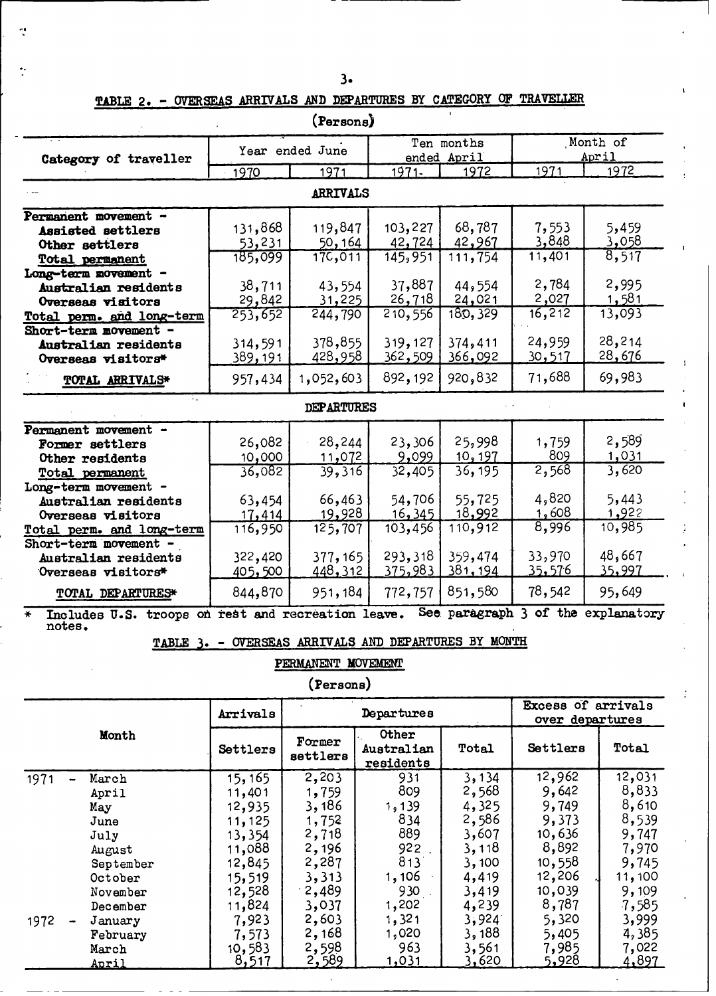**TABLE 2. - OVERSEAS ARRIVALS AND DEPARTURES BY CATPEGORY OP TRAVELLER**

 $\tilde{\phantom{a}}$ 

|                                                                        |         | Year ended June   |             | Ten months             |              | Month of    |  |
|------------------------------------------------------------------------|---------|-------------------|-------------|------------------------|--------------|-------------|--|
| Category of traveller                                                  |         |                   | ended April |                        | April        |             |  |
|                                                                        | 1970    | 1971              | $1971 -$    | 1972                   | 1971         | 1972        |  |
|                                                                        |         | ARRIVALS          |             |                        |              |             |  |
| Permanent movement -                                                   |         |                   |             |                        |              |             |  |
| Assisted settlers                                                      | 131,868 | 119,847           | 103,227     | 68,787                 | 7,553        | 5,459       |  |
| Other settlers                                                         | 53,231  | 50,164            | 42,724      | 42,967                 | 3,848        | 3,058       |  |
| <b>Total permanent</b>                                                 | 185,099 | 17C,011           | 145,951     | 111,754                | 11,401       | 8,517       |  |
| Long-term movement -                                                   |         |                   |             |                        |              |             |  |
| Australian residents                                                   | 38,711  | 43,554            | 37,887      | 44,554                 | 2,784        | 2,995       |  |
| Overseas visitors                                                      | 29,842  | 31,225            | 26,718      | 24,021                 | 2,027        | 1,581       |  |
| Total perm. and long-term                                              | 253,652 | 244,790           | 210,556     | 180, 329               | 16, 212      | 13,093      |  |
| Short-term movement -                                                  |         |                   |             |                        |              |             |  |
| Australian residents                                                   | 314,591 | 378,855           | 319,127     | 374,411                | 24,959       | 28,214      |  |
| Overseas visitors*                                                     | 389,191 | 428,958           | 362,509     | 366,092                | 30,517       | 28,676      |  |
| TOTAL ARRIVALS*                                                        | 957,434 | 1,052,603         | 892,192     | 920,832                | 71,688       | 69,983      |  |
|                                                                        |         | <b>DEPARTURES</b> |             |                        |              |             |  |
| Permanent movement -                                                   |         |                   |             |                        |              |             |  |
| Former settlers                                                        | 26,082  | 28,244            | 23,306      | 25,998                 | 1,759        | 2,589       |  |
| Other residents                                                        | 10,000  | 11,072            | 9,099       | 10, 197                | 809          | <u>031</u>  |  |
| Total permanent                                                        | 36,082  | 39,316            | 32,405      | 36, 195                | 2,568        | 3,620       |  |
| Long-term movement -                                                   |         |                   |             |                        |              |             |  |
| Australian residents                                                   | 63,454  | 66,463            | 54,706      | 55,725                 | 4,820        | 5,443       |  |
| Overseas visitors                                                      | 17,414  | 19,928            | 16, 345     | 18,992                 | <u>1,608</u> | 1,922       |  |
| Total perm. and long-term                                              | 116,950 | 125,707           | 103,456     | 110,912                | 8,996        | 10,985      |  |
| Short-term movement -                                                  |         |                   |             |                        |              |             |  |
| Australian residents                                                   | 322,420 | 377, 165          | 293,318     | 359,474                | 33,970       | 48,667      |  |
| Overseas visitors*                                                     | 405,500 | 448, 312          | 375,983     | 381, 194               | 35,576       | 35,997      |  |
| TOTAL DEPARTURES*                                                      | 844,870 | 951,184           | 772,757     | 851,580                | 78,542       | 95,649      |  |
| Includes U.S. troops on rest and recreation leave.<br>$\ast$<br>notes. |         |                   |             | See paragraph 3 of the |              | explanatory |  |

ł

 $\bullet$ 

**(Persons)**

TABLE 3. - OVERSEAS ARRIVALS AND DEPARTURES BY MONTH

### PERMANENT **MOVEMENT**

**(Persons)**

|       |           | Arrivals     |                    | Departures                       |       | Excess of arrivals<br>over departures |        |  |
|-------|-----------|--------------|--------------------|----------------------------------|-------|---------------------------------------|--------|--|
| Month |           | Settlers     | Former<br>settlers | Other<br>Australian<br>residents | Total | Settlers                              | Total  |  |
| 1971  | March     | 15, 165      | 2,203              | 931                              | 3,134 | 12,962                                | 12,031 |  |
|       | April     | 11,401       | 1,759              | 809                              | 2,568 | 9,642                                 | 8,833  |  |
|       | May       | 12,935       | 3,186              | 1, 139                           | 4,325 | 9,749                                 | 8,610  |  |
|       | June      | 11,125       | 1,752              | 834                              | 2,586 | 9,373                                 | 8,539  |  |
|       | July      | 13,354       | 2,718              | 889                              | 3,607 | 10,636                                | 9,747  |  |
|       | August    | 11,088       | 2,196              | 922.                             | 3,118 | 8,892                                 | 7,970  |  |
|       | September | 12,845       | 2,287              | 813                              | 3,100 | 10,558                                | 9,745  |  |
|       | October   | 15,519       | 3,313              | 1, 106                           | 4,419 | 12,206                                | 11,100 |  |
|       | November  | 12,528       | .2,489             | 930                              | 3,419 | 10,039                                | 9,109  |  |
|       | December  | 11,824       | 3,037              | 1,202                            | 4,239 | 8,787                                 | 7,585  |  |
| 1972  | January   | 7,923        | 2,603              | 1,321                            | 3,924 | 5,320                                 | 3,999  |  |
|       | February  | 7,573        | 2,168              | 1,020                            | 3,188 | 5,405                                 | 4,385  |  |
|       | March     | 10,583       | 2,598              | 963                              | 3,561 | 7,985                                 | 7,022  |  |
|       | April     | <u>8,517</u> | <u>2,589</u>       | 1,031                            | 3,620 | 5,928                                 | 4,897  |  |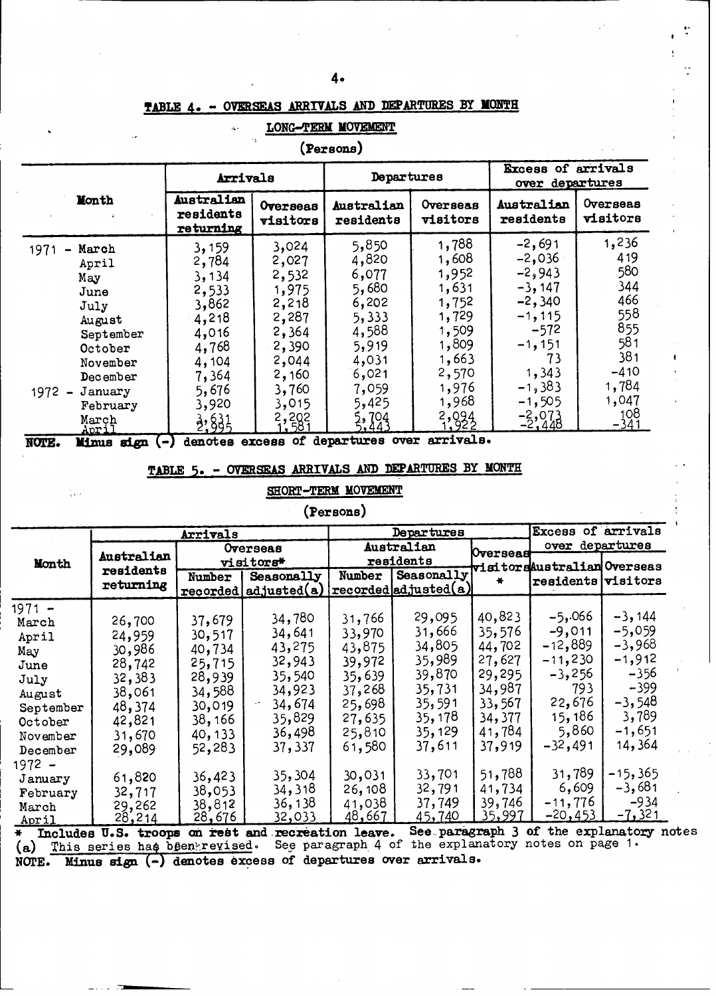÷

t

### **TABLE 4- - OVERSEAS ARRIVALS AND DEPARTURES BY MONTH**

| ÷:<br>(Persons)                                                                             |                                                                                        |                                                                                           |                                                                                        |                                                                                        |                                                                                                            |                                                                         |  |  |
|---------------------------------------------------------------------------------------------|----------------------------------------------------------------------------------------|-------------------------------------------------------------------------------------------|----------------------------------------------------------------------------------------|----------------------------------------------------------------------------------------|------------------------------------------------------------------------------------------------------------|-------------------------------------------------------------------------|--|--|
|                                                                                             | Arrivals                                                                               |                                                                                           | Departures                                                                             |                                                                                        | Excess of arrivals<br>departures<br>over                                                                   |                                                                         |  |  |
| Month                                                                                       | Australian<br>residents<br>returning                                                   | Overseas<br>visitors                                                                      | Australian<br>residents                                                                | Overseas<br>visitors                                                                   | Australian<br>residents                                                                                    | Overseas<br>visitors                                                    |  |  |
| 1971<br>March<br>April<br>May<br>June<br>July<br>August<br>September<br>October<br>November | 3,159<br>2,784<br>3,134<br>2,533<br>3,862<br>4,218<br>4,016<br>4,768<br>4,104<br>7,364 | 3,024<br>2,027<br>2,532<br>1,975<br>2,218<br>2,287<br>2,364<br>$-2,390$<br>2,044<br>2,160 | 5,850<br>4,820<br>6,077<br>5,680<br>6,202<br>5,333<br>4,588<br>5,919<br>4,031<br>6,021 | 1,788<br>1,608<br>1,952<br>1,631<br>1,752<br>1,729<br>1,509<br>1,809<br>1,663<br>2,570 | $-2,691$<br>$-2,036$<br>$-2,943$<br>$-3,147$<br>$-2,340$<br>$-1, 115$<br>$-572$<br>$-1,151$<br>73<br>1,343 | 1,236<br>419<br>580<br>344<br>466<br>558<br>855<br>581<br>381<br>$-410$ |  |  |
| December<br>1972<br>January<br>$\overline{\phantom{a}}$<br>February<br>March<br>April       | 5,676<br>3,920<br>$\frac{3}{2}, \frac{6}{3}$                                           | 3,760<br>3,015<br>2,202                                                                   | 7,059<br>5,425<br>5,704<br>5,443                                                       | 1,976<br>1,968<br>2,924                                                                | $-1,383$<br>$-1,505$<br>$\frac{-2,073}{-2,448}$                                                            | 1,784<br>1,047<br>108<br>$-341$                                         |  |  |

#### **LONG-TERM MOVEMENT**

**NOTE.** Minus sign (-) denotes excess of departures over arrivals.

### **TABLE 5. - OVERSEAS ARRIVALS AND DEPARTURES BY MONTH**

#### **SHORT-TERM MOVEMENT**

### **(Persons)**

|                |                              | <b>Arrivals</b> |                       |                  | Departures            |           | Excess of arrivals          |                                        |
|----------------|------------------------------|-----------------|-----------------------|------------------|-----------------------|-----------|-----------------------------|----------------------------------------|
|                |                              | Overseas        |                       |                  | Australian            | Overseast | over departures             |                                        |
| Month          | Australian                   |                 | visitors*             | residents        |                       |           | visitorsAustralian Overseas |                                        |
|                | residents<br>returning       | Number          | Seasonally            | Number           | Seasonally            |           | residents visitors          |                                        |
|                |                              |                 | recorded adjusted (a) |                  | reordered adjusted(a) |           |                             |                                        |
| $1971 -$       |                              |                 |                       |                  |                       |           |                             |                                        |
| March          | 26,700                       | 37,679          | 34,780                | 31,766           | 29,095                | 40,823    | $-5,066$                    | $-3,144$                               |
| April          | 24,959                       | 30,517          | 34,641                | 33,970           | 31,666                | 35,576    | $-9,011$                    | $-5,059$                               |
| May            | 30,986                       | 40,734          | 43,275                | 43,875           | 34,805                | 44,702    | $-12,889$                   | $-3,968$                               |
| June           | 28,742                       | 25,715          | 32,943                | 39,972           | 35,989                | 27,627    | $-11,230$                   | $-1,912$                               |
| July           | 32,383                       | 28,939          | 35,540                | 35,639           | 39,870                | 29,295    | $-3,256$                    | $-356$                                 |
| August         | 38,061                       | 34,588          | 34,923                | 37,268           | 35,731                | 34,987    | 793                         | $-399$                                 |
| September      | 48,374                       | 30,019          | 34,674                | 25,698           | 35,591                | 33,567    | 22,676                      | $-3,548$                               |
| October        | 42,821                       | 38,166          | 35,829                | 27,635           | 35, 178               | 34,377    | 15, 186                     | 3,789                                  |
| November       | 31,670                       | 40, 133         | 36,498                | 25,810           | 35, 129               | 41,784    | 5,860                       | $-1,651$                               |
| December       | 29,089                       | 52,283          | 37,337                | 61,580           | 37,611                | 37,919    | $-32,491$                   | 14,364                                 |
| 1972 –         |                              |                 |                       |                  |                       |           |                             |                                        |
| January        | 61,820                       | 36,423          | 35,304                | 30,031           | 33,701                | 51,788    | 31,789                      | $-15,365$                              |
| February       | 32,717                       | 38,053          | 34,318                | 26,108           | 32,791                | 41,734    | 6,609                       | $-3,681$                               |
|                | 29,262                       | 38,812          | 36, 138               | 41,038           | 37,749                | 39,746    | $-11,776$                   | $-934$                                 |
| March<br>April | 28,214                       | 28,676          | 32,033                | 48,667           | 45,740                | 35,997    | $-20, 453$                  | $-7,321$                               |
|                | $\mu$ Twaledon II Q transmer | ma inabt        | end                   | monmention leave |                       |           |                             | See paragraph 3 of the explanatory not |

**\* Includes U.S. troops on rest and. recreation leave. See.-paragr** (a) This series has been revised. See paragraph 4 of the explan **NOTE. Minus sign (-) denotes excess** of departures over **arrivals. aph 3 of tne expanatory notes** atory notes on page 1.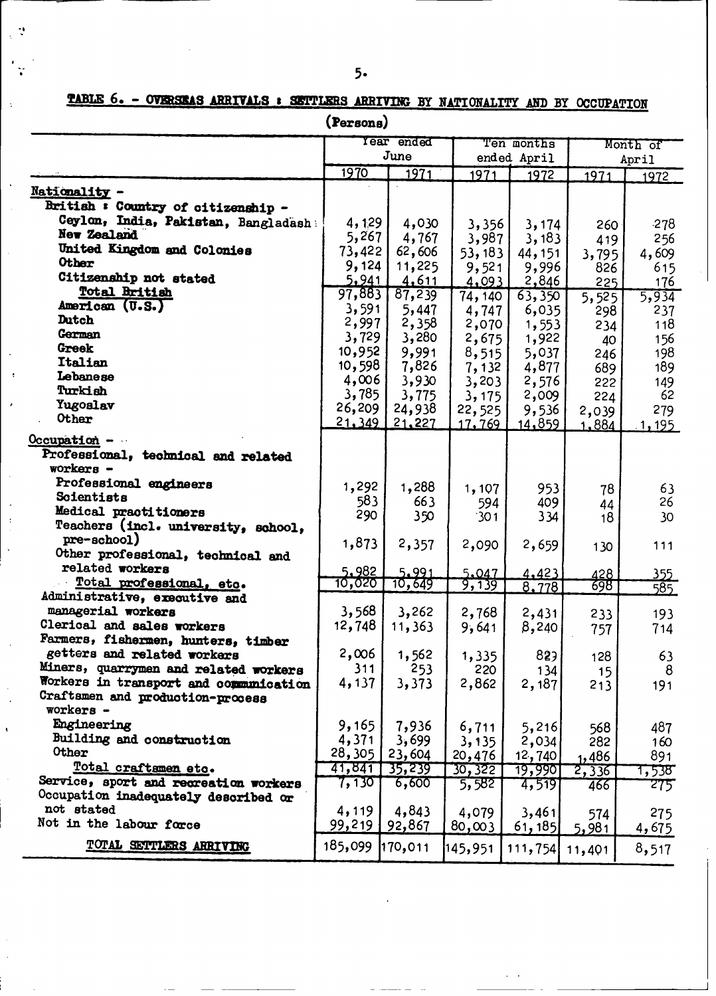$\mathbb{R}^4$ 

 $\bar{\mathcal{A}}$ 

TABLE 6. - OVERSEAS ARRIVALS : SETTLERS ARRIVING BY NATIONALITY AND BY OCCUPATION

(Persons)

|                                                    |                 | Year ended      |                  | Ten months      |              | Month of     |  |
|----------------------------------------------------|-----------------|-----------------|------------------|-----------------|--------------|--------------|--|
|                                                    |                 | June            |                  | ended April     |              | April        |  |
|                                                    | 1970            | 1971            | 1971             | 1972            | 1971         | 1972         |  |
| Nationality -                                      |                 |                 |                  |                 |              |              |  |
| British : Country of citizenship -                 |                 |                 |                  |                 |              |              |  |
| Ceylon, India, Pakistan, Bangladash                | 4,129           |                 |                  |                 |              |              |  |
| New Zealand                                        | 5,267           | 4,030           | 3,356            | 3,174           | 260          | $-278$       |  |
| United Kingdom and Colonies                        | 73,422          | 4,767<br>62,606 | 3,987            | 3,183           | 419          | 256          |  |
| <b>Other</b>                                       | 9,124           | 11,225          | 53, 183          | 44, 151         | 3,795        | 4,609        |  |
| Citizenship not stated                             | 5,941           | 4,611           | 9,521            | 9,996           | 826          | 615          |  |
| Total British                                      | 97,883          | 87,239          | 4,093<br>74, 140 | 2,846<br>63,350 | 225          | 176          |  |
| American (U.S.)                                    | 3,591           | 5,447           | 4,747            | 6,035           | 5,525        | 5,934<br>237 |  |
| <b>Dutch</b>                                       | 2,997           | 2,358           | 2,070            | 1,553           | 298          | 118          |  |
| German                                             | 3,729           | 3,280           | 2,675            | 1,922           | 234          | 156          |  |
| Greek                                              | 10,952          | 9,991           | 8,515            | 5,037           | 40<br>246    | 198          |  |
| Italian                                            | 10,598          | 7,826           | 7,132            | 4,877           | 689          | 189          |  |
| Lebanese                                           | 4,006           | 3,930           | 3, 203           | 2,576           | 222          | 149          |  |
| Turkish                                            | 3,785           | 3,775           | 3,175            | 2,009           | 224          | 62           |  |
| Yugoslav                                           | 26,209          | 24,938          | 22,525           | 9,536           | 2,039        | 279          |  |
| Other                                              | 21,349          | 21,227          | <u>17, 769 </u>  | 14,859          | <u>1.884</u> | 1,195        |  |
| Occupation -                                       |                 |                 |                  |                 |              |              |  |
| Professional, technical and related                |                 |                 |                  |                 |              |              |  |
| workers -                                          |                 |                 |                  |                 |              |              |  |
| Professional engineers                             |                 |                 |                  |                 |              |              |  |
| Scientists                                         | 1,292<br>583    | 1,288           | 1,107            | 953             | 78           | 63           |  |
| Medical practitioners                              | 290             | 663             | 594              | 409             | 44           | 26           |  |
| Teachers (incl. university, school,                |                 | 350             | 301              | 334             | 18           | 30           |  |
| pre-school)                                        | 1,873           | 2,357           | 2,090            | 2,659           |              |              |  |
| Other professional, technical and                  |                 |                 |                  |                 | 130          | 111          |  |
| related workers                                    | 5.982           | 5.991           | 5.047            | 4,423           | 428          | 355          |  |
| Total professional, etc.                           | 10,020          | 10,649          | 9,139            | 8,778           | 698          | 585          |  |
| Administrative, executive and                      |                 |                 |                  |                 |              |              |  |
| managerial workers                                 | 3,568           | 3,262           | 2,768            | 2,431           | 233          | 193          |  |
| Clerical and sales workers                         | 12,748          | 11,363          | 9,641            | 8,240           | 757          | 714          |  |
| Farmers, fishermen, hunters, timber                |                 |                 |                  |                 |              |              |  |
| getters and related workers                        | 2,006           | 1,562           | 1,335            | 829             | 128          | 63           |  |
| Miners, quarrymen and related workers              | 311             | 253             | 220              | 134             | 15           | 8            |  |
| Workers in transport and communication             | 4,137           | 3,373           | 2,862            | 2,187           | 213          | 191          |  |
| Craftsmen and production-process                   |                 |                 |                  |                 |              |              |  |
| workers -                                          |                 |                 |                  |                 |              |              |  |
| Engineering                                        | 9,165           | 7,936           | 6,711            | 5,216           | 568          | 487          |  |
| Building and construction<br>Other                 | 4,371           | 3,699           | 3, 135           | 2,034           | 282          | 160          |  |
|                                                    | 28,305          | 23,604          | 20,476           | 12,740          | 1.486        | 891          |  |
| Total craftsmen etc.                               | 41,841          | 35,239          | 30,322           | <u> 19,990]</u> | 2,336        | 1,538°       |  |
| Service, sport and recreation workers              | 7,130           | 6,600           | 5,582            | 4,519           | 466          | 275          |  |
| Occupation inadequately described or<br>not stated |                 |                 |                  |                 |              |              |  |
| Not in the labour force                            | 4,119<br>99,219 | 4,843           | 4,079            | 3,461           | 574          | 275          |  |
|                                                    |                 | 92,867          | 80,003           | [61, 185]       | 5,981        | 4,675        |  |
| TOTAL SETTLERS ARRIVING                            | 185,099         | 170,011         | 145,951          | 111,754         | 11,401       | 8,517        |  |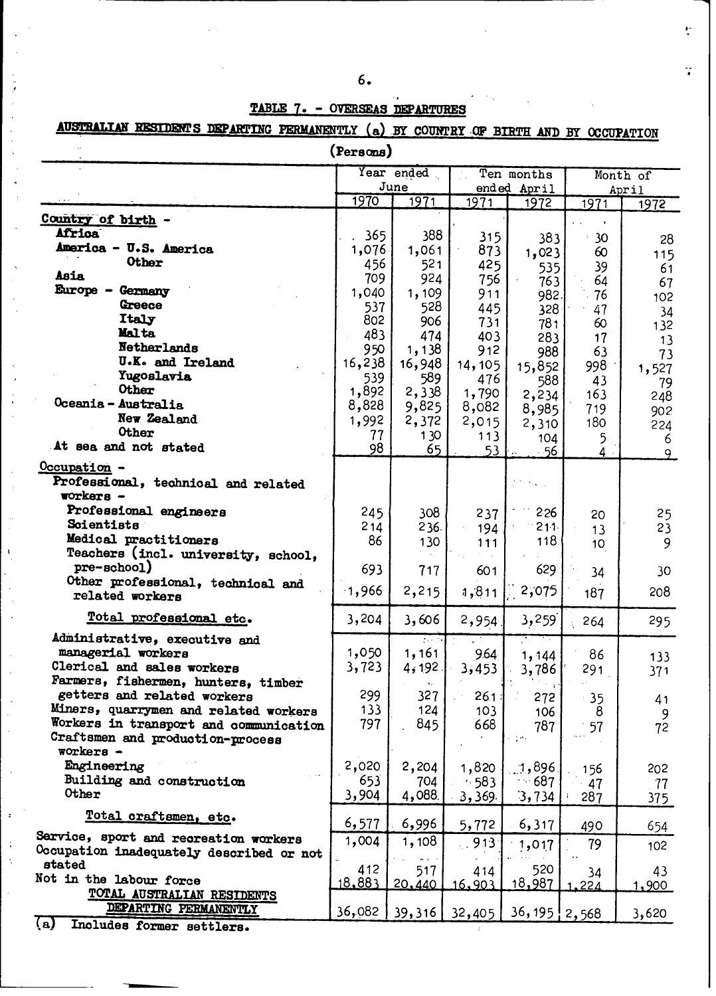| ٧<br>٠<br>٦<br>I<br>۰. | I |
|------------------------|---|
|                        | - |
|                        |   |

# **TABLE 7. - OVERSEAS DEPARTURES**

AUSTRALIAN RESIDENTS DEPARTING PERMANENTLY (a) BY COUNTRY OF BIRTH AND BY OCCUPATION

| (Persons)                                                          |           |                       |         |                     |                 |               |  |
|--------------------------------------------------------------------|-----------|-----------------------|---------|---------------------|-----------------|---------------|--|
|                                                                    |           | Year ended            |         | Ten months          |                 | Month of      |  |
|                                                                    | 1970      | June<br>1971          | 1971    | ended April<br>1972 | 1971            | April<br>1972 |  |
| Country of birth -                                                 |           |                       |         |                     |                 |               |  |
| <b>Africa</b>                                                      | 365       | 388                   | 315     | 383                 | 30 <sub>o</sub> |               |  |
| America - U.S. America                                             | 1,076     | 1,061                 | 873     | 1,023               | 60              | 28            |  |
| <b>Other</b>                                                       | 456       | 521                   | 425     | 535                 | 39              | 115<br>61     |  |
| <b>Asia</b>                                                        | 709       | 924                   | 756     | 763                 | 64              | 67            |  |
| Europe - Germany                                                   | 1,040     | 1,109                 | 911     | 982.                | 76              | 102           |  |
| Greece                                                             | 537       | 528                   | 445     | 328                 | 47              | 34            |  |
| Italy                                                              | 802       | 906                   | 731     | 781                 | 60              | 132           |  |
| Malta                                                              | 483       | 474                   | 403     | 283                 | 17              | 13            |  |
| Netherlands                                                        | 950       | 1,138                 | 912     | 988                 | 63              | 73            |  |
| U.K. and Ireland                                                   | 16,238    | 16,948                | 14, 105 | 15,852              | 998             | 1,527         |  |
| Yugoslavia                                                         | 539       | 589                   | 476     | 588                 | 43              | 79            |  |
| Other                                                              | 1,892     | 2,338                 | 1,790   | 2,234               | 163             | 248           |  |
| Oceania - Australia<br>New Zealand                                 | 8,828     | 9,825                 | 8,082   | 8,985               | 719             | 902           |  |
| Other                                                              | 1,992     | 2,372                 | 2,015   | 2,310               | 180             | 224           |  |
| At sea and not stated                                              | 77        | 130                   | 113     | 104                 | 5               | 6             |  |
|                                                                    | 98        | 65                    | 53      | $-56$               | $\overline{4}$  | 9             |  |
| Occupation -                                                       |           |                       |         |                     |                 |               |  |
| Professional, technical and related<br>$workers -$                 |           |                       |         |                     |                 |               |  |
|                                                                    |           |                       |         |                     |                 |               |  |
| Professional engineers<br>Scientists                               | 245       | 308                   | 237     | 226                 | 20              | 25            |  |
| Medical practitioners                                              | 214<br>86 | 236.                  | 194     | 211.                | 13              | 23            |  |
| Teachers (incl. university, school,                                |           | 130                   | $111$   | 118                 | 10              | 9             |  |
| pre-school)                                                        | 693       | 717                   | 601     | 629                 |                 |               |  |
| Other professional, technical and                                  |           |                       |         |                     | 34              | 30            |  |
| related workers                                                    | $-1,966$  | 2,215                 | 1,811   | 2,075               | 187             | 208           |  |
| Total professional etc.                                            |           |                       |         |                     |                 |               |  |
|                                                                    | 3,204     | 3,606                 | 2,954   | 3,259               | 264             | 295           |  |
| Administrative, executive and                                      |           |                       |         |                     |                 |               |  |
| managerial workers                                                 | 1,050     | 1,161                 | 9.64    | 1,144               | 86              | 133           |  |
| Clerical and sales workers                                         | 3,723     | $4,192$               | 3,453   | 3,786               | 291             | 371           |  |
| Farmers, fishermen, hunters, timber<br>getters and related workers | 299       | $\mathbf{v}$ .<br>327 | 26.1    |                     |                 |               |  |
| Miners, quarrymen and related workers                              | 133       | 124                   | 103     | 272<br>106          | 35<br>8         | 41            |  |
| Workers in transport and communication                             | 797       | 845                   | 668     | 787                 | 57              | 9             |  |
| Craftsmen and production-process                                   |           |                       |         | a nos               |                 | 72            |  |
| workers -                                                          |           |                       |         |                     |                 |               |  |
| Engineering                                                        | 2,020     | 2,204                 | 1,820   | 1,896               | 156             | 202           |  |
| Building and construction                                          | 653       | 704                   | $-583$  | $-687$              | 47              | -77           |  |
| Other                                                              | 3,904     | 4,088                 | 3,369.  | 3,734               | 287             | 375           |  |
| Total craftsmen, etc.                                              |           |                       |         |                     |                 |               |  |
|                                                                    | 6,577     | 6,996                 | 5,772   | 6,317               | 490             | 654           |  |
| Service, sport and recreation workers                              | 1,004     | 1,108                 | 913     | 1,017               | 79              | 102           |  |
| Occupation inadequately described or not<br>stated                 |           |                       |         |                     |                 |               |  |
| Not in the labour force                                            | 412       | 517                   | 414     | 520                 | 34              | 43            |  |
|                                                                    | 18,883    | 20,440                | 16.903  | 18,987              | .224            | 1,900         |  |
| TOTAL AUSTRALIAN RESIDENTS<br>DEPARTING PERMANENTLY                |           |                       |         |                     |                 |               |  |
|                                                                    | 36,082    | 39,316                | 32,405  | $36, 195$   2,568   |                 | 3,620         |  |

Includes former settlers.

 $\ddot{ }$ 

ŀ.

j.

 $\overline{\phantom{a}}$ 

 $\ddot{\phantom{1}}$ 

 $\mathcal{A}$ 

 $\ddot{\phantom{a}}$ Ļ.

 $\ddot{\phantom{a}}$ 

 $\bar{\mathcal{A}}$  $\bar{z}$ 

 $\ddot{\phantom{1}}$ 

 $\ddot{\phantom{a}}$ 

 $\ddot{\phantom{1}}$  $\hat{\mathcal{A}}$  ŧ.

 $\ddot{\cdot}$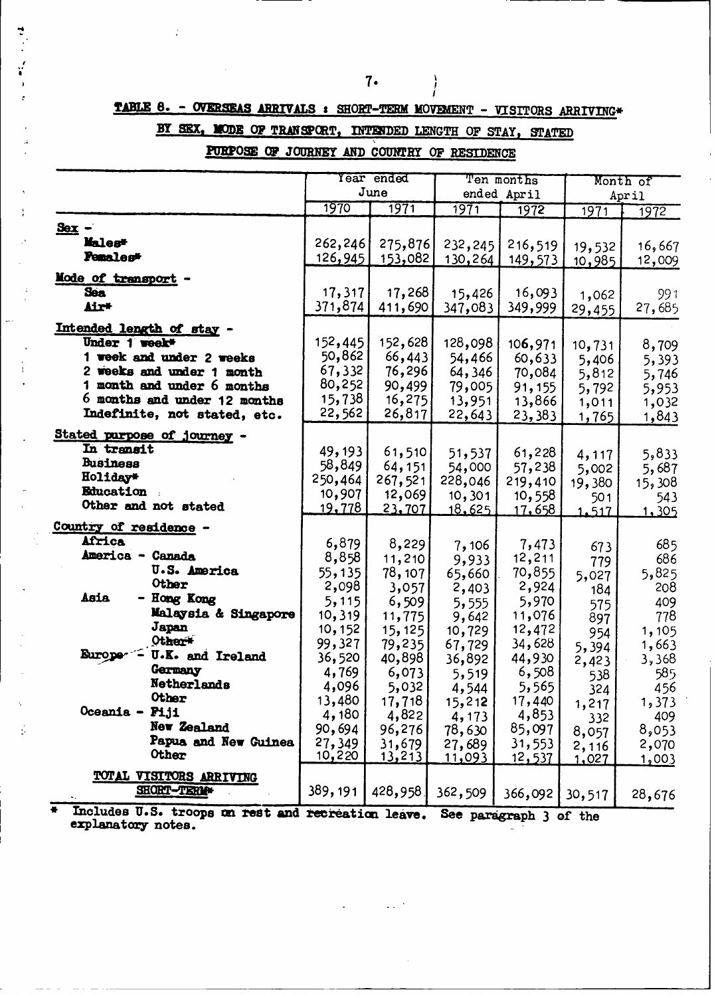# TABLE 8. - OVERSEAS ARRIVALS : SHORT-TERM MOVEMENT - VISITORS ARRIVING\*

# BY SEX, MODE OF TRANSPORT, INTENDED LENGTH OF STAY, STATED

### PURPOSE OF JOURNEY AND COUNTRY OF RESIDENCE

|                                                    |                  | Year ended       | Ten months       |                        |                | Month of      |
|----------------------------------------------------|------------------|------------------|------------------|------------------------|----------------|---------------|
|                                                    |                  | June             |                  | ended April            |                | April         |
|                                                    | 1970             | 1971             | 1971             | 1972                   | 1971           | 1972          |
| $S_{\text{ex}}$ .                                  |                  |                  |                  |                        |                |               |
| Males*                                             | 262,246          | 275,876          | 232,245          | 216,519                | 19,532         | 16,667        |
| <b>Penales*</b>                                    | 126,945          | 153,082          | 130,264          | 149,573                | 10,985         | 12,009        |
| Mode of transport                                  |                  |                  |                  |                        |                |               |
| <b>Sea</b>                                         | 17,317           | 17,268           | 15,426           | 16,093                 | 1,062          | 991           |
| Air*                                               | 371,874          | 411,690          | 347,083          | 349,999                | 29,455         | 27,685        |
|                                                    |                  |                  |                  |                        |                |               |
| Intended length of stay -<br>Under 1 week*         | 152,445          |                  |                  |                        |                |               |
| 1 week and under 2 weeks                           | 50,862           | 152,628          | 128,098          | 106,971                | 10,731         | 8,709         |
| 2 weeks and under 1 month                          | 67,332           | 66,443<br>76,296 | 54,466           | 60,633                 | 5,406          | 5,393         |
| 1 month and under 6 months                         | 80,252           | 90,499           | 64,346<br>79,005 | 70,084                 | 5,812          | 5,746         |
| 6 months and under 12 months                       | 15,738           | 16,275           | 13,951           | 91,155<br>13,866       | 5,792          | 5,953         |
| Indefinite, not stated, etc.                       | 22,562           | 26,817           | 22,643           | 23,383                 | 1,011<br>1,765 | 1,032         |
|                                                    |                  |                  |                  |                        |                | 1,843         |
| Stated purpose of journey                          |                  |                  |                  |                        |                |               |
| In transit                                         | 49, 193          | 61,510           | 51,537           | 61,228                 | 4,117          | 5,833         |
| <b>Business</b><br>Holiday*                        | 58,849           | 64,151           | 54,000           | 57,238                 | 5,002          | 5,687         |
| Education                                          | 250,464          | 267,521          | 228,046          | 219,410                | 19,380         | 15,308        |
| Other and not stated                               | 10,907           | 12,069           | 10, 301          | 10,558                 | 501            | 543           |
|                                                    | <u>19,778</u>    | 23,707           | 18,625           | <u> 17.658 </u>        | 1.517          | 1,305         |
| Country of residence -                             |                  |                  |                  |                        |                |               |
| Africa                                             | 6,879            | 8,229            | 7,106            | 7,473                  | 673            | 685           |
| America - Canada                                   | 8,858            | 11,210           | 9,933            | 12,211                 | 779            | 686           |
| <b>U.S. America</b>                                | 55,135           | 78, 107          | 65,660           | 70,855                 | 5,027          | 5,825         |
| Other<br>Asia                                      | 2,098            | 3,057            | 2,403            | 2,924                  | 184            | 208           |
| - Hong Kong                                        | 5,115            | 6,509            | 5,555            | 5,970                  | 575            | 409           |
| Malaysia & Singapore<br>Japan                      | 10,319           | 11,775           | 9,642            | 11,076                 | 897            | 778           |
| Other <sup>#</sup>                                 | 10, 152          | 15, 125          | 10,729           | 12,472                 | 954            | 1,105         |
| $\sim$ U.K. and Ireland<br><b>Europe</b>           | 99,327<br>36,520 | 79,235           | 67,729           | 34,628                 | 5,394          | 1,663         |
| Germany                                            | 4,769            | 40,898<br>6,073  | 36,892           | 44,930<br>6,508        | 2,423          | 3,368         |
| Netherlands                                        | 4,096            | 5,032            | 5,519            | 5,565                  | 538            | 585.          |
| Other                                              | 13,480           | 17,718           | 4,544<br>15,212  | 17,440                 | 324            | 456<br>1,373  |
| $0$ ceania - $P1.11$                               | 4,180            | 4,822            | 4,173            | 4,853                  | 1,217          | 409           |
| New Zealand                                        | 90,694           | 96,276           | 78,630           | 85,097                 | 332<br>8,057   | 8,053         |
| Papua and New Guinea                               | 27,349           | 31,679           | 27,689           | 31,553                 | 2,116          | 2,070         |
| Other                                              | 10,220           | <u>13,213</u>    | 11,093           | <u>12,537</u>          | 1,027          | <u>003 و1</u> |
| TOTAL VISITORS ARRIVING                            |                  |                  |                  |                        |                |               |
| SHORT-TERM                                         | 389, 191         | 428,958          |                  |                        |                |               |
|                                                    |                  |                  | 362,509          | 366,092                | 30,517         | 28,676        |
| Includes U.S. troops on rest and recreation leave. |                  |                  |                  | See paragraph 3 of the |                |               |

 $\sim$   $\frac{1}{2}$ 

explanatory notes.

ś

 $\ddot{\cdot}$ 

 $7.$ 

 $\left\{ \right\}$